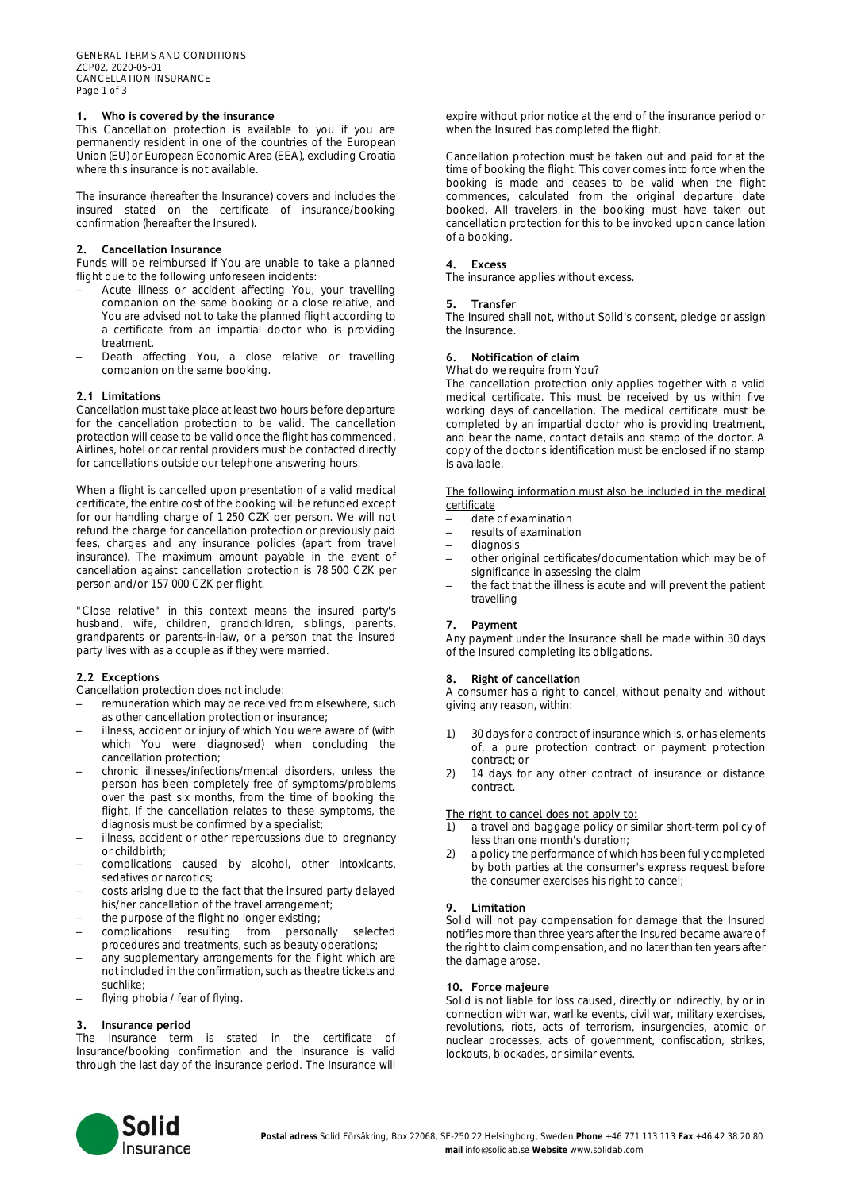# **1. Who is covered by the insurance**

This Cancellation protection is available to you if you are permanently resident in one of the countries of the European Union (EU) or European Economic Area (EEA), excluding Croatia where this insurance is not available.

The insurance (hereafter the Insurance) covers and includes the insured stated on the certificate of insurance/booking confirmation (hereafter the Insured).

# **2. Cancellation Insurance**

Funds will be reimbursed if You are unable to take a planned flight due to the following unforeseen incidents:

- Acute illness or accident affecting You, your travelling companion on the same booking or a close relative, and You are advised not to take the planned flight according to a certificate from an impartial doctor who is providing treatment.
- Death affecting You, a close relative or travelling companion on the same booking.

# **2.1 Limitations**

Cancellation must take place at least two hours before departure for the cancellation protection to be valid. The cancellation protection will cease to be valid once the flight has commenced. Airlines, hotel or car rental providers must be contacted directly for cancellations outside our telephone answering hours.

When a flight is cancelled upon presentation of a valid medical certificate, the entire cost of the booking will be refunded except for our handling charge of 1 250 CZK per person. We will not refund the charge for cancellation protection or previously paid fees, charges and any insurance policies (apart from travel insurance). The maximum amount payable in the event of cancellation against cancellation protection is 78 500 CZK per person and/or 157 000 CZK per flight.

"Close relative" in this context means the insured party's husband, wife, children, grandchildren, siblings, parents, grandparents or parents-in-law, or a person that the insured party lives with as a couple as if they were married.

# **2.2 Exceptions**

Cancellation protection does not include:

- remuneration which may be received from elsewhere, such as other cancellation protection or insurance;
- illness, accident or injury of which You were aware of (with which You were diagnosed) when concluding the cancellation protection;
- chronic illnesses/infections/mental disorders, unless the person has been completely free of symptoms/problems over the past six months, from the time of booking the flight. If the cancellation relates to these symptoms, the diagnosis must be confirmed by a specialist;
- illness, accident or other repercussions due to pregnancy or childbirth;
- complications caused by alcohol, other intoxicants, sedatives or narcotics:
- costs arising due to the fact that the insured party delayed his/her cancellation of the travel arrangement;
- the purpose of the flight no longer existing;
- complications resulting from personally selected procedures and treatments, such as beauty operations;
- any supplementary arrangements for the flight which are not included in the confirmation, such as theatre tickets and suchlike;
- flying phobia / fear of flying.

#### **3. Insurance period**

The Insurance term is stated in the certificate of Insurance/booking confirmation and the Insurance is valid through the last day of the insurance period. The Insurance will expire without prior notice at the end of the insurance period or when the Insured has completed the flight.

Cancellation protection must be taken out and paid for at the time of booking the flight. This cover comes into force when the booking is made and ceases to be valid when the flight commences, calculated from the original departure date booked. All travelers in the booking must have taken out cancellation protection for this to be invoked upon cancellation of a booking.

#### **4. Excess**

The insurance applies without excess.

#### **5. Transfer**

The Insured shall not, without Solid's consent, pledge or assign the Insurance.

#### **6. Notification of claim**

#### What do we require from You?

The cancellation protection only applies together with a valid medical certificate. This must be received by us within five working days of cancellation. The medical certificate must be completed by an impartial doctor who is providing treatment, and bear the name, contact details and stamp of the doctor. A copy of the doctor's identification must be enclosed if no stamp is available.

The following information must also be included in the medical certificate

- date of examination
- results of examination
- diagnosis
- other original certificates/documentation which may be of significance in assessing the claim
- the fact that the illness is acute and will prevent the patient travelling

# **7. Payment**

Any payment under the Insurance shall be made within 30 days of the Insured completing its obligations.

#### **8. Right of cancellation**

A consumer has a right to cancel, without penalty and without giving any reason, within:

- 1) 30 days for a contract of insurance which is, or has elements of, a pure protection contract or payment protection contract; or
- 2) 14 days for any other contract of insurance or distance contract.

# The right to cancel does not apply to:

1) a travel and baggage policy or similar short-term policy of less than one month's duration;

2) a policy the performance of which has been fully completed by both parties at the consumer's express request before the consumer exercises his right to cancel;

### **9. Limitation**

Solid will not pay compensation for damage that the Insured notifies more than three years after the Insured became aware of the right to claim compensation, and no later than ten years after the damage arose.

# **10. Force majeure**

Solid is not liable for loss caused, directly or indirectly, by or in connection with war, warlike events, civil war, military exercises, revolutions, riots, acts of terrorism, insurgencies, atomic or nuclear processes, acts of government, confiscation, strikes, lockouts, blockades, or similar events.

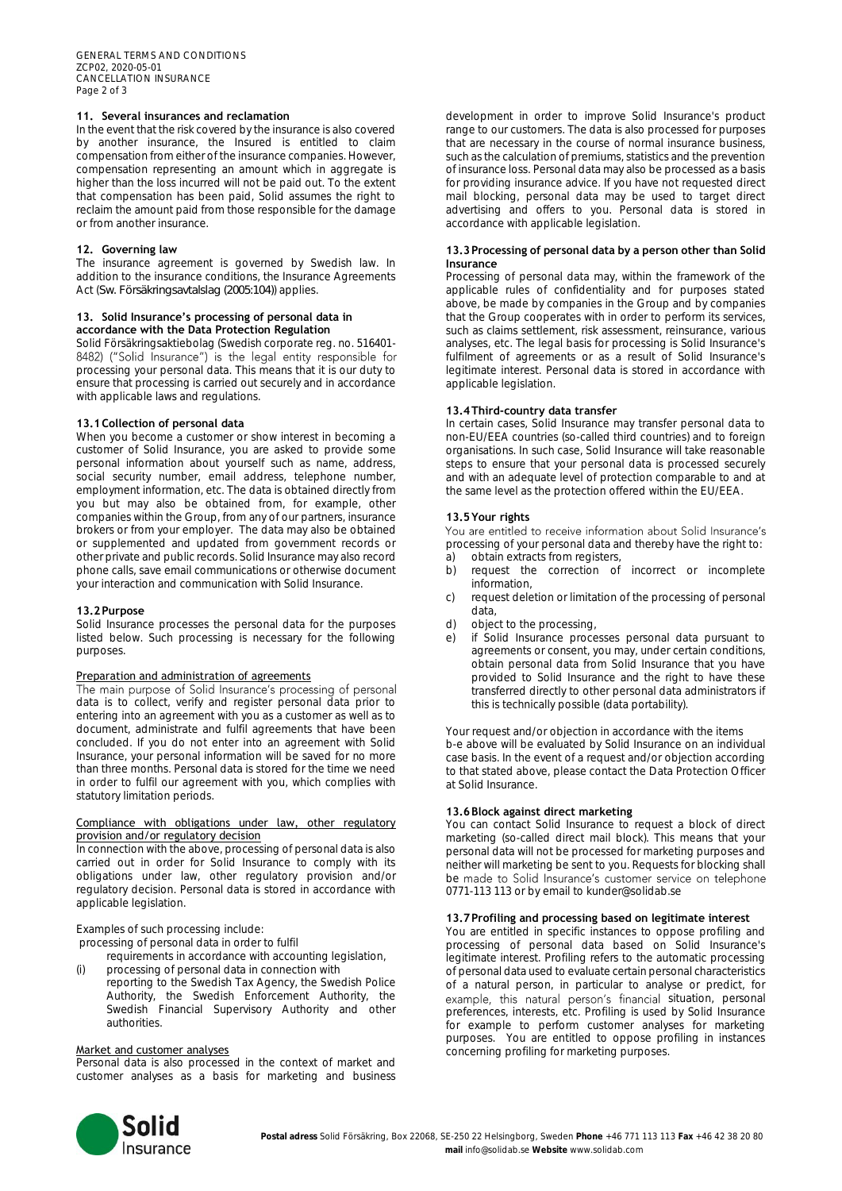# **11. Several insurances and reclamation**

In the event that the risk covered by the insurance is also covered by another insurance, the Insured is entitled to claim compensation from either of the insurance companies. However, compensation representing an amount which in aggregate is higher than the loss incurred will not be paid out. To the extent that compensation has been paid, Solid assumes the right to reclaim the amount paid from those responsible for the damage or from another insurance.

# **12. Governing law**

The insurance agreement is governed by Swedish law. In addition to the insurance conditions, the Insurance Agreements Act (*Sw. Försäkringsavtalslag (2005:104)*) applies.

# **13. Solid Insurance's processing of personal data in accordance with the Data Protection Regulation**

Solid Försäkringsaktiebolag (Swedish corporate reg. no. 516401-8482) ("Solid Insurance") is the legal entity responsible for processing your personal data. This means that it is our duty to ensure that processing is carried out securely and in accordance with applicable laws and regulations.

# **13.1Collection of personal data**

When you become a customer or show interest in becoming a customer of Solid Insurance, you are asked to provide some personal information about yourself such as name, address, social security number, email address, telephone number, employment information, etc. The data is obtained directly from you but may also be obtained from, for example, other companies within the Group, from any of our partners, insurance brokers or from your employer. The data may also be obtained or supplemented and updated from government records or other private and public records. Solid Insurance may also record phone calls, save email communications or otherwise document your interaction and communication with Solid Insurance.

#### **13.2Purpose**

Solid Insurance processes the personal data for the purposes listed below. Such processing is necessary for the following purposes.

# Preparation and administration of agreements

The main purpose of Solid Insurance's processing of personal data is to collect, verify and register personal data prior to entering into an agreement with you as a customer as well as to document, administrate and fulfil agreements that have been concluded. If you do not enter into an agreement with Solid Insurance, your personal information will be saved for no more than three months. Personal data is stored for the time we need in order to fulfil our agreement with you, which complies with statutory limitation periods.

# Compliance with obligations under law, other regulatory provision and/or regulatory decision

In connection with the above, processing of personal data is also carried out in order for Solid Insurance to comply with its obligations under law, other regulatory provision and/or regulatory decision. Personal data is stored in accordance with applicable legislation.

# Examples of such processing include:

processing of personal data in order to fulfil

requirements in accordance with accounting legislation,

(i) processing of personal data in connection with reporting to the Swedish Tax Agency, the Swedish Police Authority, the Swedish Enforcement Authority, the Swedish Financial Supervisory Authority and other authorities.

#### Market and customer analyses

Personal data is also processed in the context of market and customer analyses as a basis for marketing and business development in order to improve Solid Insurance's product range to our customers. The data is also processed for purposes that are necessary in the course of normal insurance business, such as the calculation of premiums, statistics and the prevention of insurance loss. Personal data may also be processed as a basis for providing insurance advice. If you have not requested direct mail blocking, personal data may be used to target direct advertising and offers to you. Personal data is stored in accordance with applicable legislation.

## **13.3Processing of personal data by a person other than Solid Insurance**

Processing of personal data may, within the framework of the applicable rules of confidentiality and for purposes stated above, be made by companies in the Group and by companies that the Group cooperates with in order to perform its services, such as claims settlement, risk assessment, reinsurance, various analyses, etc. The legal basis for processing is Solid Insurance's fulfilment of agreements or as a result of Solid Insurance's legitimate interest. Personal data is stored in accordance with applicable legislation.

# **13.4Third-country data transfer**

In certain cases, Solid Insurance may transfer personal data to non-EU/EEA countries (so-called third countries) and to foreign organisations. In such case, Solid Insurance will take reasonable steps to ensure that your personal data is processed securely and with an adequate level of protection comparable to and at the same level as the protection offered within the EU/EEA.

# **13.5Your rights**

You are entitled to receive information about Solid Insurance's processing of your personal data and thereby have the right to: a) obtain extracts from registers,

- b) request the correction of incorrect or incomplete information,
- c) request deletion or limitation of the processing of personal data,
- d) object to the processing,
- e) if Solid Insurance processes personal data pursuant to agreements or consent, you may, under certain conditions, obtain personal data from Solid Insurance that you have provided to Solid Insurance and the right to have these transferred directly to other personal data administrators if this is technically possible (data portability).

Your request and/or objection in accordance with the items b-e above will be evaluated by Solid Insurance on an individual case basis. In the event of a request and/or objection according to that stated above, please contact the Data Protection Officer at Solid Insurance.

# **13.6Block against direct marketing**

You can contact Solid Insurance to request a block of direct marketing (so-called direct mail block). This means that your personal data will not be processed for marketing purposes and neither will marketing be sent to you. Requests for blocking shall be made to Solid Insurance's customer service on telephone 0771-113 113 or by email to kunder@solidab.se

# **13.7Profiling and processing based on legitimate interest**

You are entitled in specific instances to oppose profiling and processing of personal data based on Solid Insurance's legitimate interest. Profiling refers to the automatic processing of personal data used to evaluate certain personal characteristics of a natural person, in particular to analyse or predict, for example, this natural person's financial situation, personal preferences, interests, etc. Profiling is used by Solid Insurance for example to perform customer analyses for marketing purposes. You are entitled to oppose profiling in instances concerning profiling for marketing purposes.